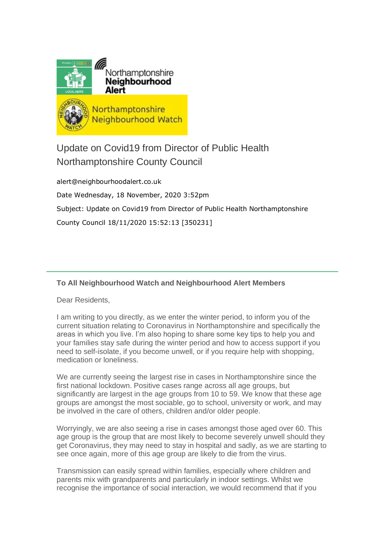

## Update on Covid19 from Director of Public Health Northamptonshire County Council

alert@neighbourhoodalert.co.uk Date Wednesday, 18 November, 2020 3:52pm Subject: Update on Covid19 from Director of Public Health Northamptonshire County Council 18/11/2020 15:52:13 [350231]

## **To All Neighbourhood Watch and Neighbourhood Alert Members**

Dear Residents,

I am writing to you directly, as we enter the winter period, to inform you of the current situation relating to Coronavirus in Northamptonshire and specifically the areas in which you live. I'm also hoping to share some key tips to help you and your families stay safe during the winter period and how to access support if you need to self-isolate, if you become unwell, or if you require help with shopping, medication or loneliness.

We are currently seeing the largest rise in cases in Northamptonshire since the first national lockdown. Positive cases range across all age groups, but significantly are largest in the age groups from 10 to 59. We know that these age groups are amongst the most sociable, go to school, university or work, and may be involved in the care of others, children and/or older people.

Worryingly, we are also seeing a rise in cases amongst those aged over 60. This age group is the group that are most likely to become severely unwell should they get Coronavirus, they may need to stay in hospital and sadly, as we are starting to see once again, more of this age group are likely to die from the virus.

Transmission can easily spread within families, especially where children and parents mix with grandparents and particularly in indoor settings. Whilst we recognise the importance of social interaction, we would recommend that if you